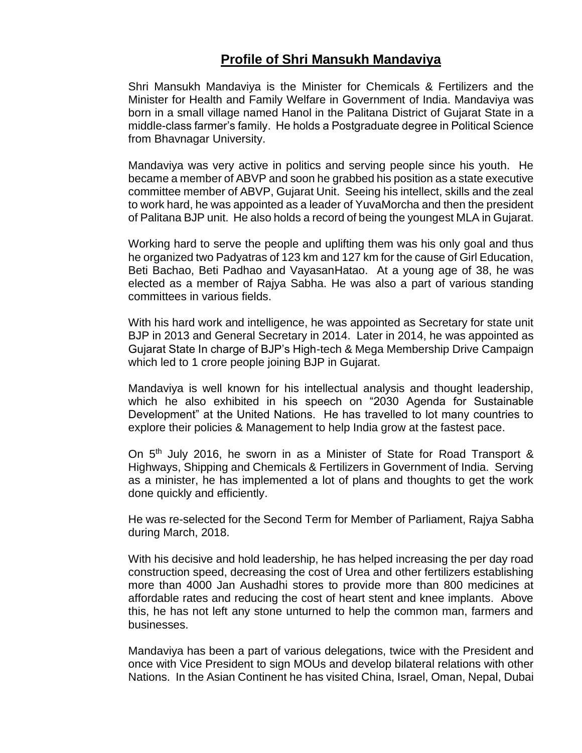## **Profile of Shri Mansukh Mandaviya**

Shri Mansukh Mandaviya is the Minister for Chemicals & Fertilizers and the Minister for Health and Family Welfare in Government of India. Mandaviya was born in a small village named Hanol in the Palitana District of Gujarat State in a middle-class farmer's family. He holds a Postgraduate degree in Political Science from Bhavnagar University.

Mandaviya was very active in politics and serving people since his youth. He became a member of ABVP and soon he grabbed his position as a state executive committee member of ABVP, Gujarat Unit. Seeing his intellect, skills and the zeal to work hard, he was appointed as a leader of YuvaMorcha and then the president of Palitana BJP unit. He also holds a record of being the youngest MLA in Gujarat.

Working hard to serve the people and uplifting them was his only goal and thus he organized two Padyatras of 123 km and 127 km for the cause of Girl Education, Beti Bachao, Beti Padhao and VayasanHatao. At a young age of 38, he was elected as a member of Rajya Sabha. He was also a part of various standing committees in various fields.

With his hard work and intelligence, he was appointed as Secretary for state unit BJP in 2013 and General Secretary in 2014. Later in 2014, he was appointed as Gujarat State In charge of BJP's High-tech & Mega Membership Drive Campaign which led to 1 crore people joining BJP in Gujarat.

Mandaviya is well known for his intellectual analysis and thought leadership, which he also exhibited in his speech on "2030 Agenda for Sustainable Development" at the United Nations. He has travelled to lot many countries to explore their policies & Management to help India grow at the fastest pace.

On 5<sup>th</sup> July 2016, he sworn in as a Minister of State for Road Transport & Highways, Shipping and Chemicals & Fertilizers in Government of India. Serving as a minister, he has implemented a lot of plans and thoughts to get the work done quickly and efficiently.

He was re-selected for the Second Term for Member of Parliament, Rajya Sabha during March, 2018.

With his decisive and hold leadership, he has helped increasing the per day road construction speed, decreasing the cost of Urea and other fertilizers establishing more than 4000 Jan Aushadhi stores to provide more than 800 medicines at affordable rates and reducing the cost of heart stent and knee implants. Above this, he has not left any stone unturned to help the common man, farmers and businesses.

Mandaviya has been a part of various delegations, twice with the President and once with Vice President to sign MOUs and develop bilateral relations with other Nations. In the Asian Continent he has visited China, Israel, Oman, Nepal, Dubai